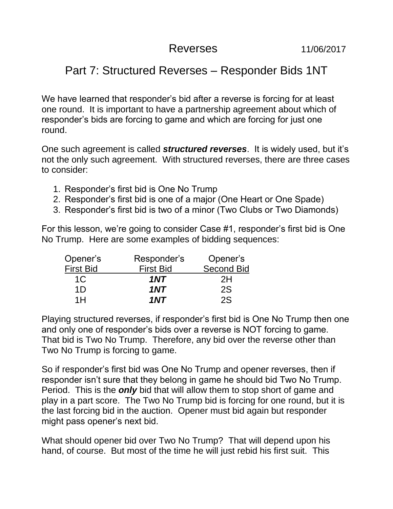## Reverses 11/06/2017

## Part 7: Structured Reverses – Responder Bids 1NT

We have learned that responder's bid after a reverse is forcing for at least one round. It is important to have a partnership agreement about which of responder's bids are forcing to game and which are forcing for just one round.

One such agreement is called *structured reverses*. It is widely used, but it's not the only such agreement. With structured reverses, there are three cases to consider:

- 1. Responder's first bid is One No Trump
- 2. Responder's first bid is one of a major (One Heart or One Spade)
- 3. Responder's first bid is two of a minor (Two Clubs or Two Diamonds)

For this lesson, we're going to consider Case #1, responder's first bid is One No Trump. Here are some examples of bidding sequences:

| Opener's         | Responder's      |                   |  |
|------------------|------------------|-------------------|--|
| <b>First Bid</b> | <b>First Bid</b> | <b>Second Bid</b> |  |
| 1C               | 1NT              | 2H                |  |
| 1D               | 1NT              | 2S                |  |
| 1H               | 1NT              | 2S                |  |

Playing structured reverses, if responder's first bid is One No Trump then one and only one of responder's bids over a reverse is NOT forcing to game. That bid is Two No Trump. Therefore, any bid over the reverse other than Two No Trump is forcing to game.

So if responder's first bid was One No Trump and opener reverses, then if responder isn't sure that they belong in game he should bid Two No Trump. Period. This is the *only* bid that will allow them to stop short of game and play in a part score. The Two No Trump bid is forcing for one round, but it is the last forcing bid in the auction. Opener must bid again but responder might pass opener's next bid.

What should opener bid over Two No Trump? That will depend upon his hand, of course. But most of the time he will just rebid his first suit. This